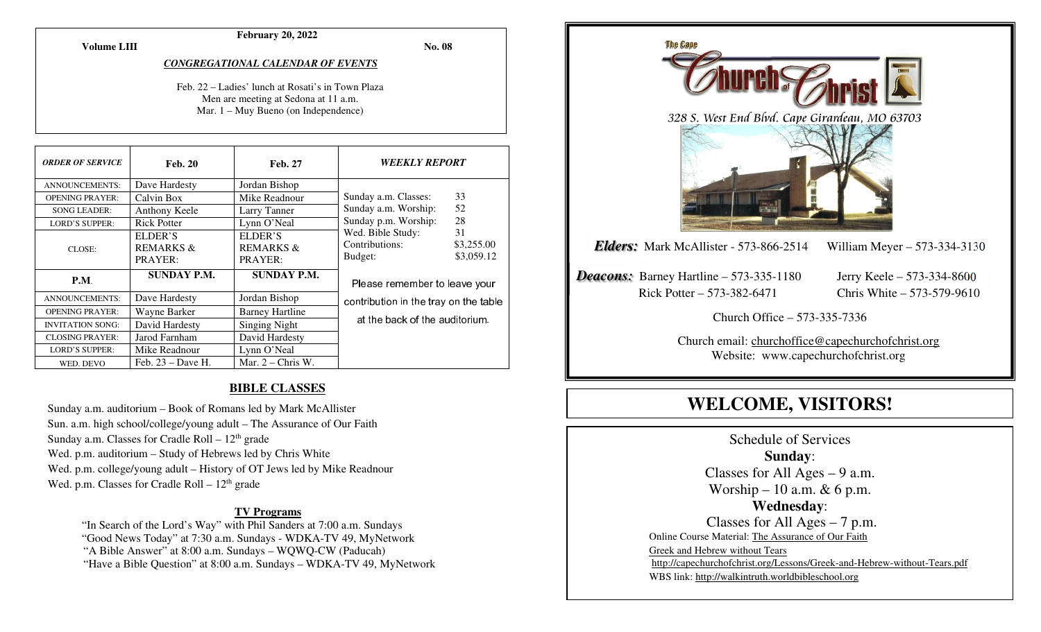**February 20, 2022** 

**Volume LIII**

**No. 08** 

#### *CONGREGATIONAL CALENDAR OF EVENTS*

Feb. 22 – Ladies' lunch at Rosati's in Town Plaza Men are meeting at Sedona at 11 a.m. Mar. 1 – Muy Bueno (on Independence)

| <b>ORDER OF SERVICE</b> | <b>Feb. 20</b>                     | <b>Feb. 27</b>                  | <i><b>WEEKLY REPORT</b></i>                    |                                |
|-------------------------|------------------------------------|---------------------------------|------------------------------------------------|--------------------------------|
| <b>ANNOUNCEMENTS:</b>   | Dave Hardesty                      | Jordan Bishop                   |                                                |                                |
| <b>OPENING PRAYER:</b>  | Calvin Box                         | Mike Readnour                   | Sunday a.m. Classes:                           | 33                             |
| <b>SONG LEADER:</b>     | Anthony Keele                      | Larry Tanner                    | Sunday a.m. Worship:                           | 52                             |
| <b>LORD'S SUPPER:</b>   | <b>Rick Potter</b>                 | Lynn O'Neal                     | Sunday p.m. Worship:                           | 28                             |
| CLOSE:                  | ELDER'S<br>REMARKS $\&$<br>PRAYER: | ELDER'S<br>REMARKS &<br>PRAYER: | Wed. Bible Study:<br>Contributions:<br>Budget: | 31<br>\$3,255.00<br>\$3,059.12 |
| P.M.                    | <b>SUNDAY P.M.</b>                 | <b>SUNDAY P.M.</b>              | Please remember to leave your                  |                                |
| <b>ANNOUNCEMENTS:</b>   | Dave Hardesty                      | Jordan Bishop                   | contribution in the tray on the table          |                                |
| <b>OPENING PRAYER:</b>  | Wayne Barker                       | <b>Barney Hartline</b>          |                                                |                                |
| <b>INVITATION SONG:</b> | David Hardesty                     | Singing Night                   | at the back of the auditorium.                 |                                |
| <b>CLOSING PRAYER:</b>  | Jarod Farnham                      | David Hardesty                  |                                                |                                |
| <b>LORD'S SUPPER:</b>   | Mike Readnour                      | Lynn O'Neal                     |                                                |                                |
| WED. DEVO               | Feb. $23 - Dave$ H.                | Mar. $2 -$ Chris W.             |                                                |                                |

### **BIBLE CLASSES**

Sunday a.m. auditorium – Book of Romans led by Mark McAllister Sun. a.m. high school/college/young adult – The Assurance of Our Faith Sunday a.m. Classes for Cradle Roll –  $12<sup>th</sup>$  grade Wed. p.m. auditorium – Study of Hebrews led by Chris White Wed. p.m. college/young adult – History of OT Jews led by Mike Readnour Wed. p.m. Classes for Cradle Roll  $-12<sup>th</sup>$  grade

#### **TV Programs**

"In Search of the Lord's Way" with Phil Sanders at 7:00 a.m. Sundays

"Good News Today" at 7:30 a.m. Sundays - WDKA-TV 49, MyNetwork

"A Bible Answer" at 8:00 a.m. Sundays – WQWQ-CW (Paducah)

"Have a Bible Question" at 8:00 a.m. Sundays – WDKA-TV 49, MyNetwork



# **WELCOME, VISITORS!**

Schedule of Services **Sunday**: Classes for All Ages  $-9$  a.m. Worship – 10 a.m.  $& 6$  p.m. **Wednesday**: Classes for All Ages – 7 p.m. Online Course Material: The Assurance of Our Faith Greek and Hebrew without Tears http://capechurchofchrist.org/Lessons/Greek-and-Hebrew-without-Tears.pdfWBS link: http://walkintruth.worldbibleschool.org